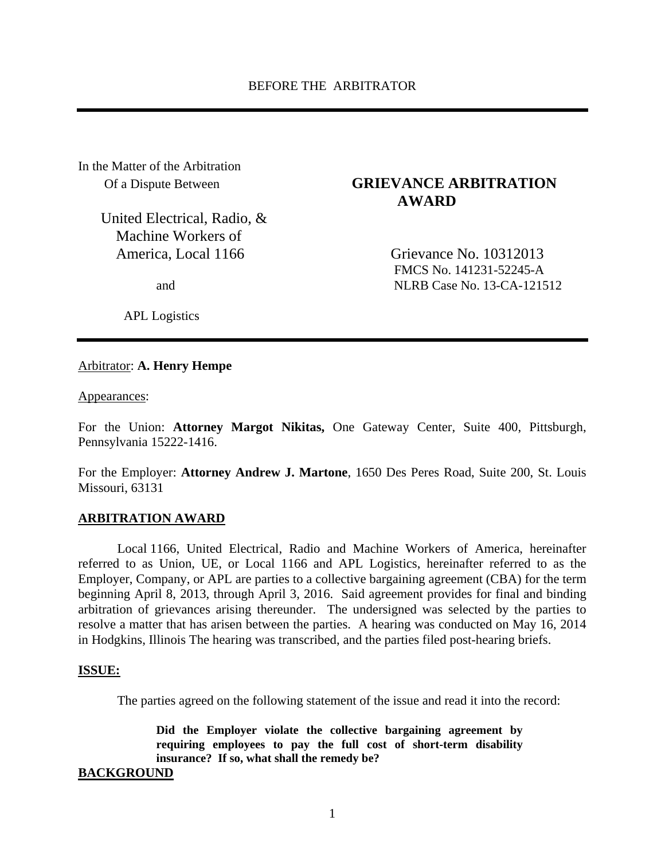In the Matter of the Arbitration

United Electrical, Radio, & Machine Workers of America, Local 1166 Grievance No. 10312013

APL Logistics

# Of a Dispute Between **GRIEVANCE ARBITRATION AWARD**

 FMCS No. 141231-52245-A and NLRB Case No. 13-CA-121512

### Arbitrator: **A. Henry Hempe**

Appearances:

For the Union: **Attorney Margot Nikitas,** One Gateway Center, Suite 400, Pittsburgh, Pennsylvania 15222-1416.

For the Employer: **Attorney Andrew J. Martone**, 1650 Des Peres Road, Suite 200, St. Louis Missouri, 63131

### **ARBITRATION AWARD**

Local 1166, United Electrical, Radio and Machine Workers of America, hereinafter referred to as Union, UE, or Local 1166 and APL Logistics, hereinafter referred to as the Employer, Company, or APL are parties to a collective bargaining agreement (CBA) for the term beginning April 8, 2013, through April 3, 2016. Said agreement provides for final and binding arbitration of grievances arising thereunder. The undersigned was selected by the parties to resolve a matter that has arisen between the parties. A hearing was conducted on May 16, 2014 in Hodgkins, Illinois The hearing was transcribed, and the parties filed post-hearing briefs.

#### **ISSUE:**

The parties agreed on the following statement of the issue and read it into the record:

**Did the Employer violate the collective bargaining agreement by requiring employees to pay the full cost of short-term disability insurance? If so, what shall the remedy be?** 

### **BACKGROUND**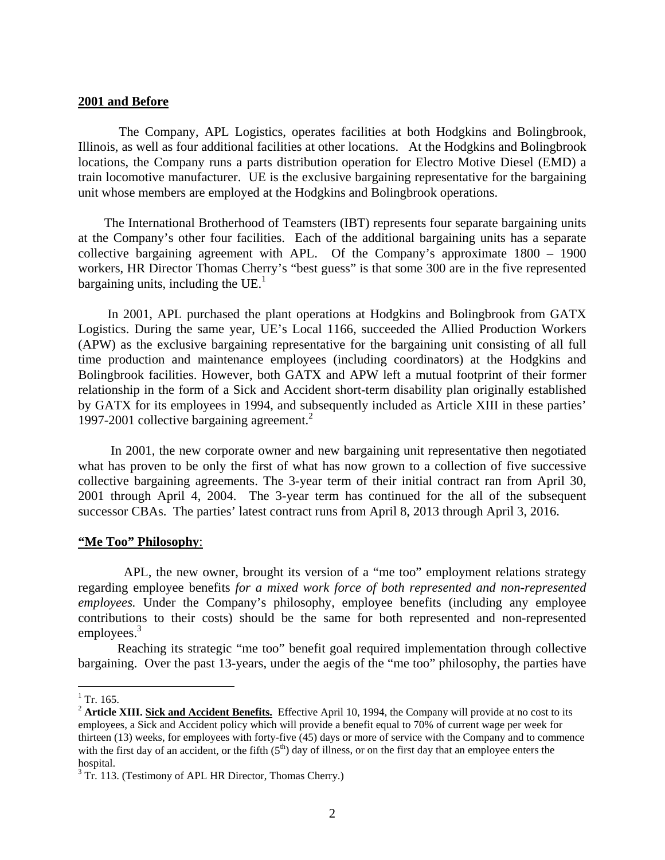## **2001 and Before**

 The Company, APL Logistics, operates facilities at both Hodgkins and Bolingbrook, Illinois, as well as four additional facilities at other locations. At the Hodgkins and Bolingbrook locations, the Company runs a parts distribution operation for Electro Motive Diesel (EMD) a train locomotive manufacturer. UE is the exclusive bargaining representative for the bargaining unit whose members are employed at the Hodgkins and Bolingbrook operations.

 The International Brotherhood of Teamsters (IBT) represents four separate bargaining units at the Company's other four facilities. Each of the additional bargaining units has a separate collective bargaining agreement with APL. Of the Company's approximate 1800 – 1900 workers, HR Director Thomas Cherry's "best guess" is that some 300 are in the five represented bargaining units, including the  $UE<sup>1</sup>$ .

 In 2001, APL purchased the plant operations at Hodgkins and Bolingbrook from GATX Logistics. During the same year, UE's Local 1166, succeeded the Allied Production Workers (APW) as the exclusive bargaining representative for the bargaining unit consisting of all full time production and maintenance employees (including coordinators) at the Hodgkins and Bolingbrook facilities. However, both GATX and APW left a mutual footprint of their former relationship in the form of a Sick and Accident short-term disability plan originally established by GATX for its employees in 1994, and subsequently included as Article XIII in these parties' 1997-2001 collective bargaining agreement.<sup>2</sup>

 In 2001, the new corporate owner and new bargaining unit representative then negotiated what has proven to be only the first of what has now grown to a collection of five successive collective bargaining agreements. The 3-year term of their initial contract ran from April 30, 2001 through April 4, 2004. The 3-year term has continued for the all of the subsequent successor CBAs. The parties' latest contract runs from April 8, 2013 through April 3, 2016.

### **"Me Too" Philosophy**:

 APL, the new owner, brought its version of a "me too" employment relations strategy regarding employee benefits *for a mixed work force of both represented and non-represented employees.* Under the Company's philosophy, employee benefits (including any employee contributions to their costs) should be the same for both represented and non-represented employees.<sup>3</sup>

Reaching its strategic "me too" benefit goal required implementation through collective bargaining. Over the past 13-years, under the aegis of the "me too" philosophy, the parties have

 $\frac{1}{1}$  Tr. 165.

<sup>&</sup>lt;sup>2</sup> Article XIII. Sick and Accident Benefits. Effective April 10, 1994, the Company will provide at no cost to its employees, a Sick and Accident policy which will provide a benefit equal to 70% of current wage per week for thirteen (13) weeks, for employees with forty-five (45) days or more of service with the Company and to commence with the first day of an accident, or the fifth  $(5<sup>th</sup>)$  day of illness, or on the first day that an employee enters the hospital.

 $3$  Tr. 113. (Testimony of APL HR Director, Thomas Cherry.)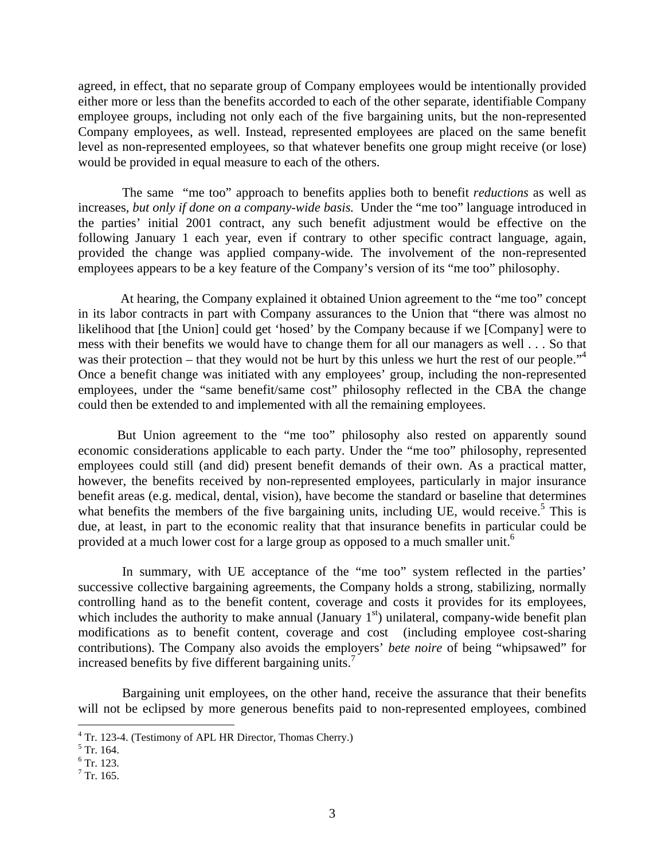agreed, in effect, that no separate group of Company employees would be intentionally provided either more or less than the benefits accorded to each of the other separate, identifiable Company employee groups, including not only each of the five bargaining units, but the non-represented Company employees, as well. Instead, represented employees are placed on the same benefit level as non-represented employees, so that whatever benefits one group might receive (or lose) would be provided in equal measure to each of the others.

The same "me too" approach to benefits applies both to benefit *reductions* as well as increases, *but only if done on a company-wide basis.* Under the "me too" language introduced in the parties' initial 2001 contract, any such benefit adjustment would be effective on the following January 1 each year, even if contrary to other specific contract language, again, provided the change was applied company-wide*.* The involvement of the non-represented employees appears to be a key feature of the Company's version of its "me too" philosophy.

 At hearing, the Company explained it obtained Union agreement to the "me too" concept in its labor contracts in part with Company assurances to the Union that "there was almost no likelihood that [the Union] could get 'hosed' by the Company because if we [Company] were to mess with their benefits we would have to change them for all our managers as well . . . So that was their protection – that they would not be hurt by this unless we hurt the rest of our people."<sup>4</sup> Once a benefit change was initiated with any employees' group, including the non-represented employees, under the "same benefit/same cost" philosophy reflected in the CBA the change could then be extended to and implemented with all the remaining employees.

But Union agreement to the "me too" philosophy also rested on apparently sound economic considerations applicable to each party. Under the "me too" philosophy, represented employees could still (and did) present benefit demands of their own. As a practical matter, however, the benefits received by non-represented employees, particularly in major insurance benefit areas (e.g. medical, dental, vision), have become the standard or baseline that determines what benefits the members of the five bargaining units, including UE, would receive.<sup>5</sup> This is due, at least, in part to the economic reality that that insurance benefits in particular could be provided at a much lower cost for a large group as opposed to a much smaller unit.<sup>6</sup>

 In summary, with UE acceptance of the "me too" system reflected in the parties' successive collective bargaining agreements, the Company holds a strong, stabilizing, normally controlling hand as to the benefit content, coverage and costs it provides for its employees, which includes the authority to make annual (January  $1<sup>st</sup>$ ) unilateral, company-wide benefit plan modifications as to benefit content, coverage and cost (including employee cost-sharing contributions). The Company also avoids the employers' *bete noire* of being "whipsawed" for increased benefits by five different bargaining units.<sup>7</sup>

 Bargaining unit employees, on the other hand, receive the assurance that their benefits will not be eclipsed by more generous benefits paid to non-represented employees, combined

 $\overline{a}$ 

<sup>&</sup>lt;sup>4</sup> Tr. 123-4. (Testimony of APL HR Director, Thomas Cherry.)

 $<sup>5</sup>$  Tr. 164.</sup>

<sup>6</sup> Tr. 123.

 $7$  Tr. 165.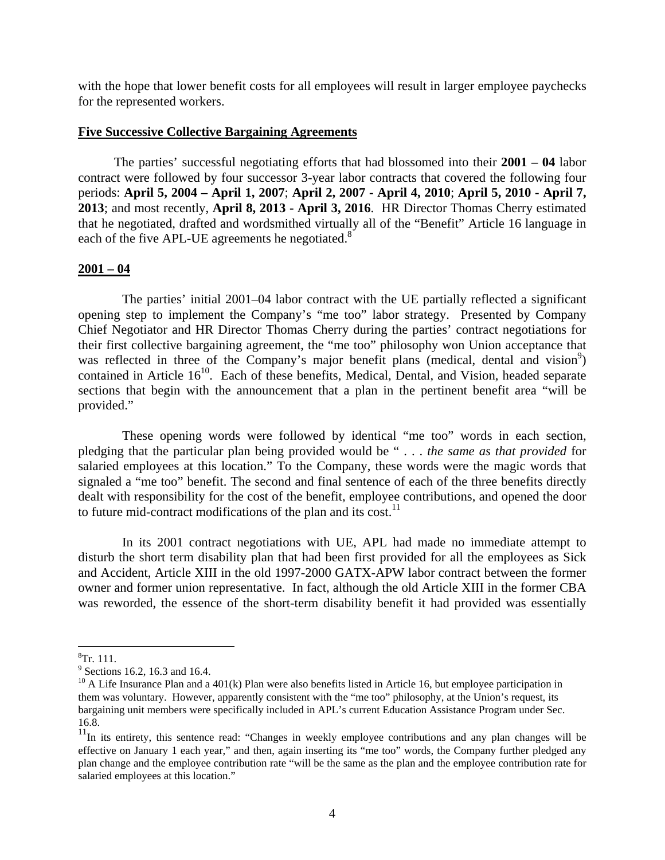with the hope that lower benefit costs for all employees will result in larger employee paychecks for the represented workers.

### **Five Successive Collective Bargaining Agreements**

 The parties' successful negotiating efforts that had blossomed into their **2001 – 04** labor contract were followed by four successor 3-year labor contracts that covered the following four periods: **April 5, 2004 – April 1, 2007**; **April 2, 2007 - April 4, 2010**; **April 5, 2010 - April 7, 2013**; and most recently, **April 8, 2013 - April 3, 2016**. HR Director Thomas Cherry estimated that he negotiated, drafted and wordsmithed virtually all of the "Benefit" Article 16 language in each of the five APL-UE agreements he negotiated.<sup>8</sup>

### **2001 – 04**

 The parties' initial 2001–04 labor contract with the UE partially reflected a significant opening step to implement the Company's "me too" labor strategy. Presented by Company Chief Negotiator and HR Director Thomas Cherry during the parties' contract negotiations for their first collective bargaining agreement, the "me too" philosophy won Union acceptance that was reflected in three of the Company's major benefit plans (medical, dental and vision<sup>9</sup>) contained in Article  $16^{10}$ . Each of these benefits, Medical, Dental, and Vision, headed separate sections that begin with the announcement that a plan in the pertinent benefit area "will be provided."

 These opening words were followed by identical "me too" words in each section, pledging that the particular plan being provided would be " . . . *the same as that provided* for salaried employees at this location." To the Company, these words were the magic words that signaled a "me too" benefit. The second and final sentence of each of the three benefits directly dealt with responsibility for the cost of the benefit, employee contributions, and opened the door to future mid-contract modifications of the plan and its cost. $^{11}$ 

 In its 2001 contract negotiations with UE, APL had made no immediate attempt to disturb the short term disability plan that had been first provided for all the employees as Sick and Accident, Article XIII in the old 1997-2000 GATX-APW labor contract between the former owner and former union representative. In fact, although the old Article XIII in the former CBA was reworded, the essence of the short-term disability benefit it had provided was essentially

 $\overline{a}$ 

<sup>8</sup> Tr. 111.

<sup>&</sup>lt;sup>9</sup> Sections 16.2, 16.3 and 16.4.

 $10$  A Life Insurance Plan and a 401(k) Plan were also benefits listed in Article 16, but employee participation in them was voluntary. However, apparently consistent with the "me too" philosophy, at the Union's request, its bargaining unit members were specifically included in APL's current Education Assistance Program under Sec. 16.8.

<sup>&</sup>lt;sup>11</sup>In its entirety, this sentence read: "Changes in weekly employee contributions and any plan changes will be effective on January 1 each year," and then, again inserting its "me too" words, the Company further pledged any plan change and the employee contribution rate "will be the same as the plan and the employee contribution rate for salaried employees at this location."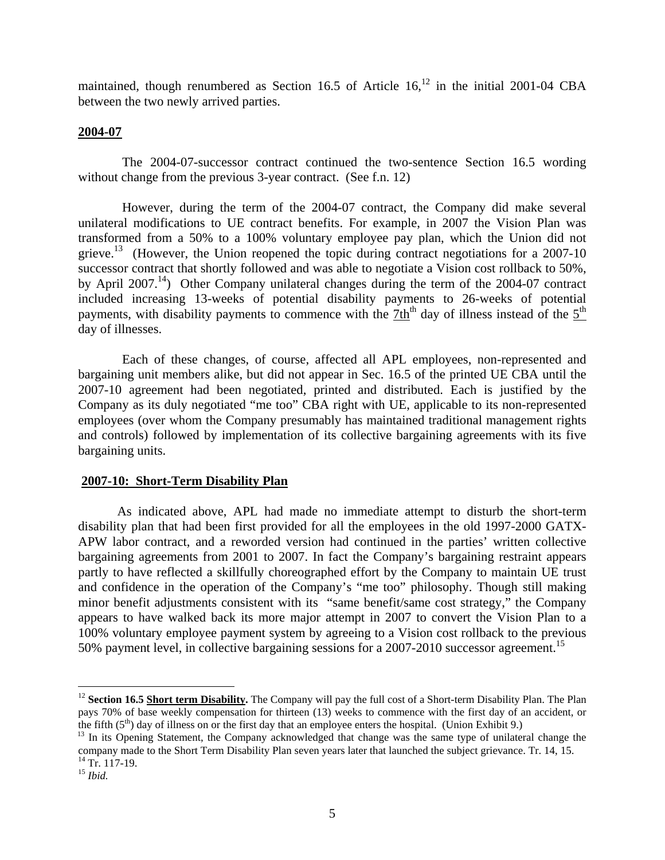maintained, though renumbered as Section 16.5 of Article  $16<sup>12</sup>$  in the initial 2001-04 CBA between the two newly arrived parties.

## **2004-07**

 The 2004-07-successor contract continued the two-sentence Section 16.5 wording without change from the previous 3-year contract. (See f.n. 12)

 However, during the term of the 2004-07 contract, the Company did make several unilateral modifications to UE contract benefits. For example, in 2007 the Vision Plan was transformed from a 50% to a 100% voluntary employee pay plan, which the Union did not grieve.<sup>13</sup> (However, the Union reopened the topic during contract negotiations for a 2007-10 successor contract that shortly followed and was able to negotiate a Vision cost rollback to 50%, by April 2007.<sup>14</sup>) Other Company unilateral changes during the term of the 2004-07 contract included increasing 13-weeks of potential disability payments to 26-weeks of potential payments, with disability payments to commence with the 7th<sup>th</sup> day of illness instead of the 5<sup>th</sup> day of illnesses.

 Each of these changes, of course, affected all APL employees, non-represented and bargaining unit members alike, but did not appear in Sec. 16.5 of the printed UE CBA until the 2007-10 agreement had been negotiated, printed and distributed. Each is justified by the Company as its duly negotiated "me too" CBA right with UE, applicable to its non-represented employees (over whom the Company presumably has maintained traditional management rights and controls) followed by implementation of its collective bargaining agreements with its five bargaining units.

## **2007-10: Short-Term Disability Plan**

As indicated above, APL had made no immediate attempt to disturb the short-term disability plan that had been first provided for all the employees in the old 1997-2000 GATX-APW labor contract, and a reworded version had continued in the parties' written collective bargaining agreements from 2001 to 2007. In fact the Company's bargaining restraint appears partly to have reflected a skillfully choreographed effort by the Company to maintain UE trust and confidence in the operation of the Company's "me too" philosophy. Though still making minor benefit adjustments consistent with its "same benefit/same cost strategy," the Company appears to have walked back its more major attempt in 2007 to convert the Vision Plan to a 100% voluntary employee payment system by agreeing to a Vision cost rollback to the previous 50% payment level, in collective bargaining sessions for a 2007-2010 successor agreement.<sup>15</sup>

<u>.</u>

<sup>&</sup>lt;sup>12</sup> **Section 16.5 Short term Disability.** The Company will pay the full cost of a Short-term Disability Plan. The Plan pays 70% of base weekly compensation for thirteen (13) weeks to commence with the first day of an accident, or the fifth  $(5<sup>th</sup>)$  day of illness on or the first day that an employee enters the hospital. (Union Exhibit 9.)

<sup>&</sup>lt;sup>13</sup> In its Opening Statement, the Company acknowledged that change was the same type of unilateral change the company made to the Short Term Disability Plan seven years later that launched the subject grievance. Tr. 14, 15.  $14$  Tr. 117-19.

<sup>15</sup> *Ibid.*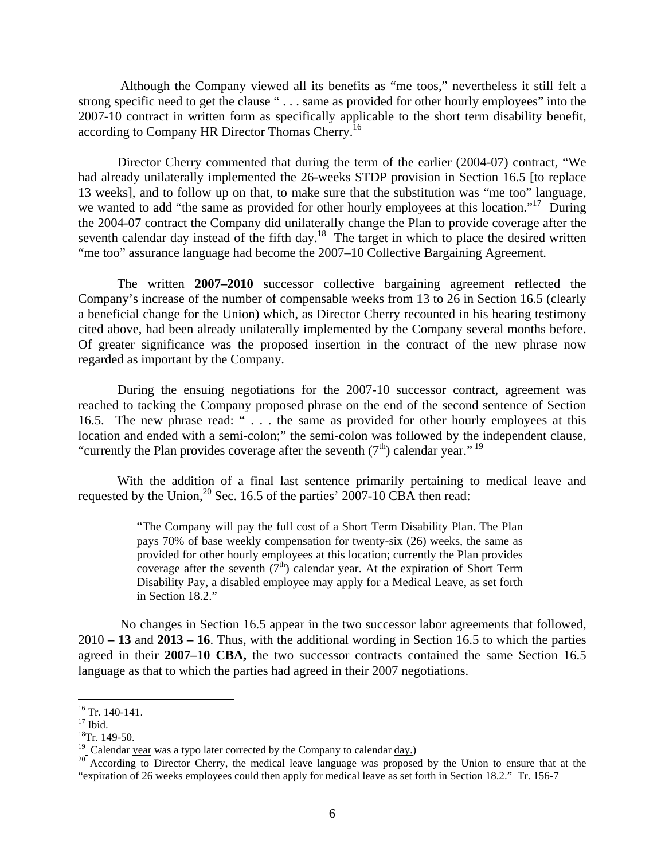Although the Company viewed all its benefits as "me toos," nevertheless it still felt a strong specific need to get the clause " . . . same as provided for other hourly employees" into the 2007-10 contract in written form as specifically applicable to the short term disability benefit, according to Company HR Director Thomas Cherry.<sup>16</sup>

Director Cherry commented that during the term of the earlier (2004-07) contract, "We had already unilaterally implemented the 26-weeks STDP provision in Section 16.5 [to replace 13 weeks], and to follow up on that, to make sure that the substitution was "me too" language, we wanted to add "the same as provided for other hourly employees at this location."<sup>17</sup> During the 2004-07 contract the Company did unilaterally change the Plan to provide coverage after the seventh calendar day instead of the fifth day.<sup>18</sup> The target in which to place the desired written "me too" assurance language had become the 2007–10 Collective Bargaining Agreement.

 The written **2007–2010** successor collective bargaining agreement reflected the Company's increase of the number of compensable weeks from 13 to 26 in Section 16.5 (clearly a beneficial change for the Union) which, as Director Cherry recounted in his hearing testimony cited above, had been already unilaterally implemented by the Company several months before. Of greater significance was the proposed insertion in the contract of the new phrase now regarded as important by the Company.

During the ensuing negotiations for the 2007-10 successor contract, agreement was reached to tacking the Company proposed phrase on the end of the second sentence of Section 16.5. The new phrase read: " . . . the same as provided for other hourly employees at this location and ended with a semi-colon;" the semi-colon was followed by the independent clause, "currently the Plan provides coverage after the seventh  $(7<sup>th</sup>)$  calendar year."<sup>19</sup>

With the addition of a final last sentence primarily pertaining to medical leave and requested by the Union,<sup>20</sup> Sec. 16.5 of the parties' 2007-10 CBA then read:

> "The Company will pay the full cost of a Short Term Disability Plan. The Plan pays 70% of base weekly compensation for twenty-six (26) weeks, the same as provided for other hourly employees at this location; currently the Plan provides coverage after the seventh  $(7<sup>th</sup>)$  calendar year. At the expiration of Short Term Disability Pay, a disabled employee may apply for a Medical Leave, as set forth in Section 18.2."

No changes in Section 16.5 appear in the two successor labor agreements that followed, 2010 **– 13** and **2013 – 16**. Thus, with the additional wording in Section 16.5 to which the parties agreed in their **2007–10 CBA,** the two successor contracts contained the same Section 16.5 language as that to which the parties had agreed in their 2007 negotiations.

 $\overline{a}$ 

 $16$  Tr. 140-141.

 $17$  Ibid.

<sup>&</sup>lt;sup>18</sup>Tr. 149-50.<br><sup>19</sup> Calendar year was a typo later corrected by the Company to calendar day.)

<sup>&</sup>lt;sup>20</sup> According to Director Cherry, the medical leave language was proposed by the Union to ensure that at the "expiration of 26 weeks employees could then apply for medical leave as set forth in Section 18.2." Tr. 156-7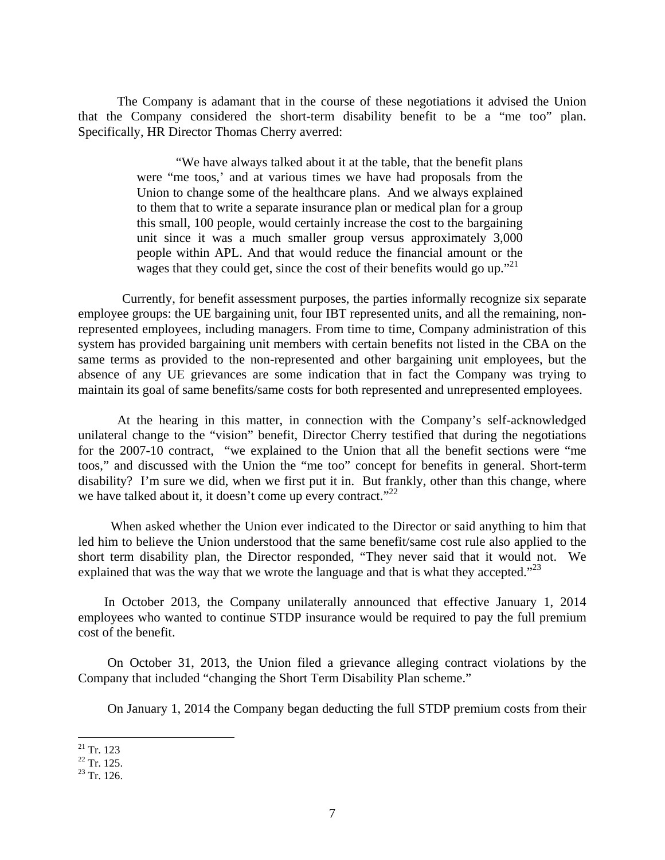The Company is adamant that in the course of these negotiations it advised the Union that the Company considered the short-term disability benefit to be a "me too" plan. Specifically, HR Director Thomas Cherry averred:

> "We have always talked about it at the table, that the benefit plans were "me toos,' and at various times we have had proposals from the Union to change some of the healthcare plans. And we always explained to them that to write a separate insurance plan or medical plan for a group this small, 100 people, would certainly increase the cost to the bargaining unit since it was a much smaller group versus approximately 3,000 people within APL. And that would reduce the financial amount or the wages that they could get, since the cost of their benefits would go up."<sup>21</sup>

 Currently, for benefit assessment purposes, the parties informally recognize six separate employee groups: the UE bargaining unit, four IBT represented units, and all the remaining, nonrepresented employees, including managers. From time to time, Company administration of this system has provided bargaining unit members with certain benefits not listed in the CBA on the same terms as provided to the non-represented and other bargaining unit employees, but the absence of any UE grievances are some indication that in fact the Company was trying to maintain its goal of same benefits/same costs for both represented and unrepresented employees.

 At the hearing in this matter, in connection with the Company's self-acknowledged unilateral change to the "vision" benefit, Director Cherry testified that during the negotiations for the 2007-10 contract, "we explained to the Union that all the benefit sections were "me toos," and discussed with the Union the "me too" concept for benefits in general. Short-term disability? I'm sure we did, when we first put it in. But frankly, other than this change, where we have talked about it, it doesn't come up every contract."<sup>22</sup>

 When asked whether the Union ever indicated to the Director or said anything to him that led him to believe the Union understood that the same benefit/same cost rule also applied to the short term disability plan, the Director responded, "They never said that it would not. We explained that was the way that we wrote the language and that is what they accepted. $2^{23}$ 

 In October 2013, the Company unilaterally announced that effective January 1, 2014 employees who wanted to continue STDP insurance would be required to pay the full premium cost of the benefit.

 On October 31, 2013, the Union filed a grievance alleging contract violations by the Company that included "changing the Short Term Disability Plan scheme."

On January 1, 2014 the Company began deducting the full STDP premium costs from their

1

 $21$  Tr. 123

 $^{22}$  Tr. 125.

 $23$  Tr. 126.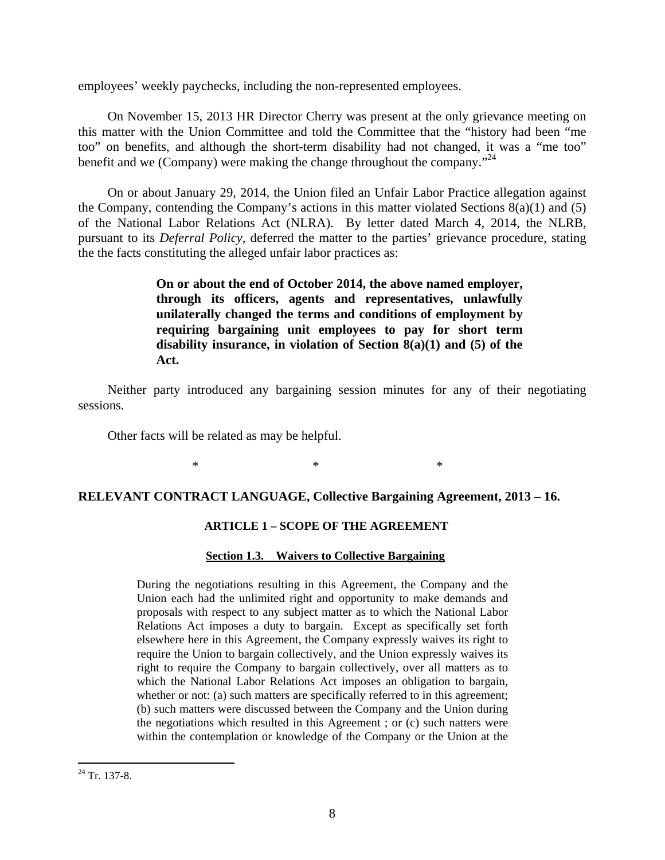employees' weekly paychecks, including the non-represented employees.

 On November 15, 2013 HR Director Cherry was present at the only grievance meeting on this matter with the Union Committee and told the Committee that the "history had been "me too" on benefits, and although the short-term disability had not changed, it was a "me too" benefit and we (Company) were making the change throughout the company."<sup>24</sup>

 On or about January 29, 2014, the Union filed an Unfair Labor Practice allegation against the Company, contending the Company's actions in this matter violated Sections  $8(a)(1)$  and  $(5)$ of the National Labor Relations Act (NLRA). By letter dated March 4, 2014, the NLRB, pursuant to its *Deferral Policy,* deferred the matter to the parties' grievance procedure, stating the the facts constituting the alleged unfair labor practices as:

> **On or about the end of October 2014, the above named employer, through its officers, agents and representatives, unlawfully unilaterally changed the terms and conditions of employment by requiring bargaining unit employees to pay for short term disability insurance, in violation of Section 8(a)(1) and (5) of the Act.**

 Neither party introduced any bargaining session minutes for any of their negotiating sessions.

Other facts will be related as may be helpful.

 $*$   $*$ 

### **RELEVANT CONTRACT LANGUAGE, Collective Bargaining Agreement, 2013 – 16.**

## **ARTICLE 1 – SCOPE OF THE AGREEMENT**

## **Section 1.3. Waivers to Collective Bargaining**

During the negotiations resulting in this Agreement, the Company and the Union each had the unlimited right and opportunity to make demands and proposals with respect to any subject matter as to which the National Labor Relations Act imposes a duty to bargain. Except as specifically set forth elsewhere here in this Agreement, the Company expressly waives its right to require the Union to bargain collectively, and the Union expressly waives its right to require the Company to bargain collectively, over all matters as to which the National Labor Relations Act imposes an obligation to bargain, whether or not: (a) such matters are specifically referred to in this agreement; (b) such matters were discussed between the Company and the Union during the negotiations which resulted in this Agreement ; or (c) such natters were within the contemplation or knowledge of the Company or the Union at the

 $\overline{a}$ 

 $24$  Tr. 137-8.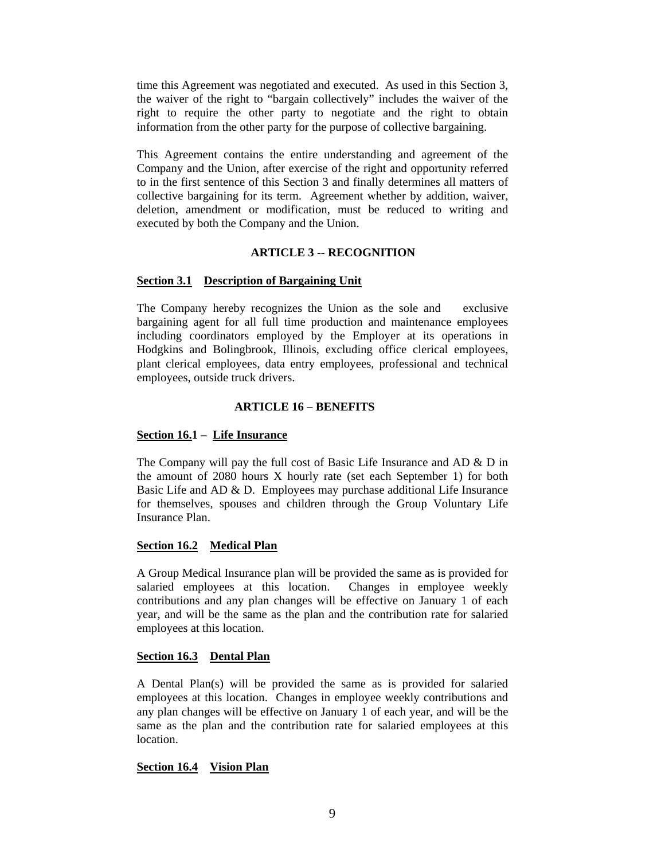time this Agreement was negotiated and executed. As used in this Section 3, the waiver of the right to "bargain collectively" includes the waiver of the right to require the other party to negotiate and the right to obtain information from the other party for the purpose of collective bargaining.

This Agreement contains the entire understanding and agreement of the Company and the Union, after exercise of the right and opportunity referred to in the first sentence of this Section 3 and finally determines all matters of collective bargaining for its term. Agreement whether by addition, waiver, deletion, amendment or modification, must be reduced to writing and executed by both the Company and the Union.

#### **ARTICLE 3 -- RECOGNITION**

### **Section 3.1 Description of Bargaining Unit**

The Company hereby recognizes the Union as the sole and exclusive bargaining agent for all full time production and maintenance employees including coordinators employed by the Employer at its operations in Hodgkins and Bolingbrook, Illinois, excluding office clerical employees, plant clerical employees, data entry employees, professional and technical employees, outside truck drivers.

### **ARTICLE 16 – BENEFITS**

### **Section 16.1 – Life Insurance**

The Company will pay the full cost of Basic Life Insurance and AD & D in the amount of 2080 hours X hourly rate (set each September 1) for both Basic Life and AD & D. Employees may purchase additional Life Insurance for themselves, spouses and children through the Group Voluntary Life Insurance Plan.

#### **Section 16.2 Medical Plan**

A Group Medical Insurance plan will be provided the same as is provided for salaried employees at this location. Changes in employee weekly contributions and any plan changes will be effective on January 1 of each year, and will be the same as the plan and the contribution rate for salaried employees at this location.

#### **Section 16.3 Dental Plan**

A Dental Plan(s) will be provided the same as is provided for salaried employees at this location. Changes in employee weekly contributions and any plan changes will be effective on January 1 of each year, and will be the same as the plan and the contribution rate for salaried employees at this location.

#### **Section 16.4 Vision Plan**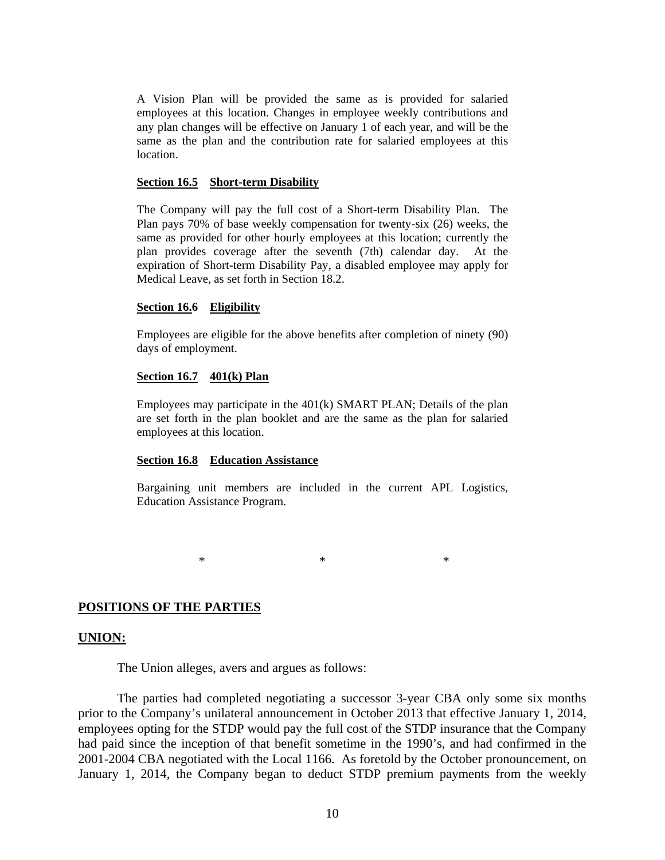A Vision Plan will be provided the same as is provided for salaried employees at this location. Changes in employee weekly contributions and any plan changes will be effective on January 1 of each year, and will be the same as the plan and the contribution rate for salaried employees at this location.

#### **Section 16.5 Short-term Disability**

The Company will pay the full cost of a Short-term Disability Plan. The Plan pays 70% of base weekly compensation for twenty-six (26) weeks, the same as provided for other hourly employees at this location; currently the plan provides coverage after the seventh (7th) calendar day. At the expiration of Short-term Disability Pay, a disabled employee may apply for Medical Leave, as set forth in Section 18.2.

#### **Section 16.6 Eligibility**

Employees are eligible for the above benefits after completion of ninety (90) days of employment.

#### **Section 16.7 401(k) Plan**

Employees may participate in the 401(k) SMART PLAN; Details of the plan are set forth in the plan booklet and are the same as the plan for salaried employees at this location.

### **Section 16.8 Education Assistance**

Bargaining unit members are included in the current APL Logistics, Education Assistance Program.

 $*$   $*$   $*$ 

#### **POSITIONS OF THE PARTIES**

#### **UNION:**

The Union alleges, avers and argues as follows:

 The parties had completed negotiating a successor 3-year CBA only some six months prior to the Company's unilateral announcement in October 2013 that effective January 1, 2014, employees opting for the STDP would pay the full cost of the STDP insurance that the Company had paid since the inception of that benefit sometime in the 1990's, and had confirmed in the 2001-2004 CBA negotiated with the Local 1166. As foretold by the October pronouncement, on January 1, 2014, the Company began to deduct STDP premium payments from the weekly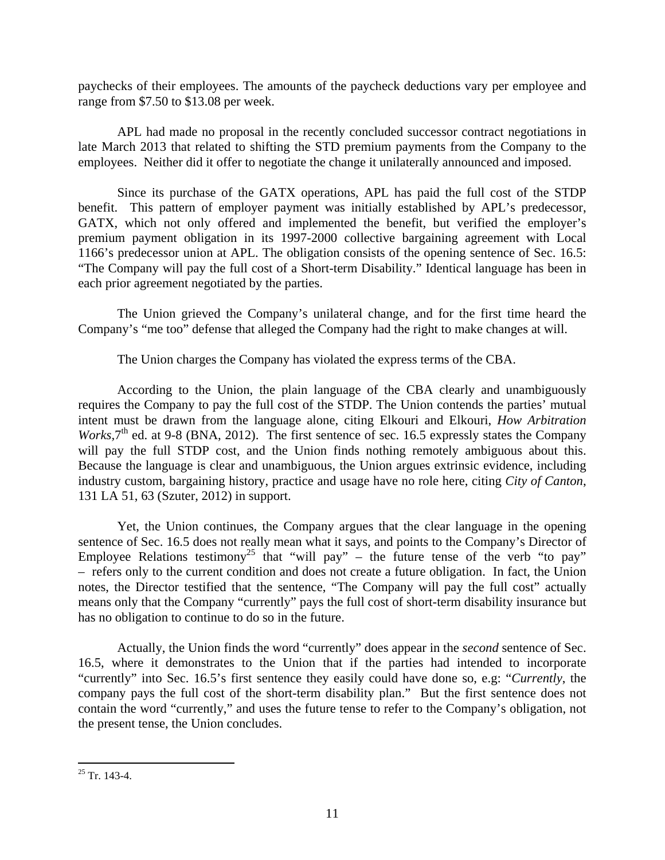paychecks of their employees. The amounts of the paycheck deductions vary per employee and range from \$7.50 to \$13.08 per week.

 APL had made no proposal in the recently concluded successor contract negotiations in late March 2013 that related to shifting the STD premium payments from the Company to the employees. Neither did it offer to negotiate the change it unilaterally announced and imposed.

 Since its purchase of the GATX operations, APL has paid the full cost of the STDP benefit. This pattern of employer payment was initially established by APL's predecessor, GATX, which not only offered and implemented the benefit, but verified the employer's premium payment obligation in its 1997-2000 collective bargaining agreement with Local 1166's predecessor union at APL. The obligation consists of the opening sentence of Sec. 16.5: "The Company will pay the full cost of a Short-term Disability." Identical language has been in each prior agreement negotiated by the parties.

 The Union grieved the Company's unilateral change, and for the first time heard the Company's "me too" defense that alleged the Company had the right to make changes at will.

The Union charges the Company has violated the express terms of the CBA.

 According to the Union, the plain language of the CBA clearly and unambiguously requires the Company to pay the full cost of the STDP. The Union contends the parties' mutual intent must be drawn from the language alone, citing Elkouri and Elkouri, *How Arbitration Works*,  $7<sup>th</sup>$  ed. at 9-8 (BNA, 2012). The first sentence of sec. 16.5 expressly states the Company will pay the full STDP cost, and the Union finds nothing remotely ambiguous about this. Because the language is clear and unambiguous, the Union argues extrinsic evidence, including industry custom, bargaining history, practice and usage have no role here, citing *City of Canton*, 131 LA 51, 63 (Szuter, 2012) in support.

 Yet, the Union continues, the Company argues that the clear language in the opening sentence of Sec. 16.5 does not really mean what it says, and points to the Company's Director of Employee Relations testimony<sup>25</sup> that "will pay" – the future tense of the verb "to pay" – refers only to the current condition and does not create a future obligation. In fact, the Union notes, the Director testified that the sentence, "The Company will pay the full cost" actually means only that the Company "currently" pays the full cost of short-term disability insurance but has no obligation to continue to do so in the future.

 Actually, the Union finds the word "currently" does appear in the *second* sentence of Sec. 16.5, where it demonstrates to the Union that if the parties had intended to incorporate "currently" into Sec. 16.5's first sentence they easily could have done so, e.g: "*Currently*, the company pays the full cost of the short-term disability plan." But the first sentence does not contain the word "currently," and uses the future tense to refer to the Company's obligation, not the present tense, the Union concludes.

<sup>1</sup>  $25$  Tr. 143-4.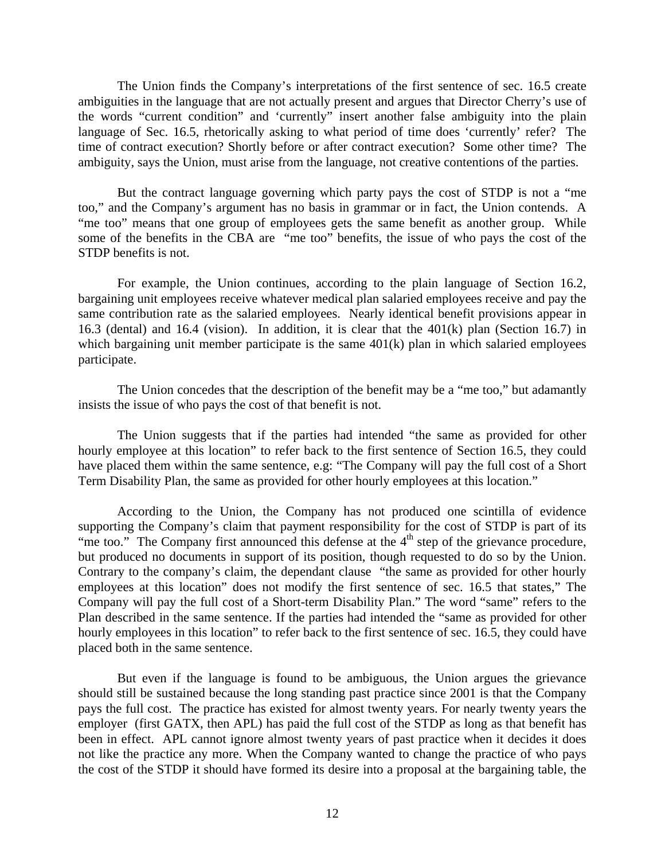The Union finds the Company's interpretations of the first sentence of sec. 16.5 create ambiguities in the language that are not actually present and argues that Director Cherry's use of the words "current condition" and 'currently" insert another false ambiguity into the plain language of Sec. 16.5, rhetorically asking to what period of time does 'currently' refer? The time of contract execution? Shortly before or after contract execution? Some other time? The ambiguity, says the Union, must arise from the language, not creative contentions of the parties.

 But the contract language governing which party pays the cost of STDP is not a "me too," and the Company's argument has no basis in grammar or in fact, the Union contends. A "me too" means that one group of employees gets the same benefit as another group. While some of the benefits in the CBA are "me too" benefits, the issue of who pays the cost of the STDP benefits is not.

For example, the Union continues, according to the plain language of Section 16.2, bargaining unit employees receive whatever medical plan salaried employees receive and pay the same contribution rate as the salaried employees. Nearly identical benefit provisions appear in 16.3 (dental) and 16.4 (vision). In addition, it is clear that the 401(k) plan (Section 16.7) in which bargaining unit member participate is the same  $401(k)$  plan in which salaried employees participate.

The Union concedes that the description of the benefit may be a "me too," but adamantly insists the issue of who pays the cost of that benefit is not.

The Union suggests that if the parties had intended "the same as provided for other hourly employee at this location" to refer back to the first sentence of Section 16.5, they could have placed them within the same sentence, e.g: "The Company will pay the full cost of a Short Term Disability Plan, the same as provided for other hourly employees at this location."

 According to the Union, the Company has not produced one scintilla of evidence supporting the Company's claim that payment responsibility for the cost of STDP is part of its "me too." The Company first announced this defense at the 4<sup>th</sup> step of the grievance procedure, but produced no documents in support of its position, though requested to do so by the Union. Contrary to the company's claim, the dependant clause "the same as provided for other hourly employees at this location" does not modify the first sentence of sec. 16.5 that states," The Company will pay the full cost of a Short-term Disability Plan." The word "same" refers to the Plan described in the same sentence. If the parties had intended the "same as provided for other hourly employees in this location" to refer back to the first sentence of sec. 16.5, they could have placed both in the same sentence.

But even if the language is found to be ambiguous, the Union argues the grievance should still be sustained because the long standing past practice since 2001 is that the Company pays the full cost. The practice has existed for almost twenty years. For nearly twenty years the employer (first GATX, then APL) has paid the full cost of the STDP as long as that benefit has been in effect. APL cannot ignore almost twenty years of past practice when it decides it does not like the practice any more. When the Company wanted to change the practice of who pays the cost of the STDP it should have formed its desire into a proposal at the bargaining table, the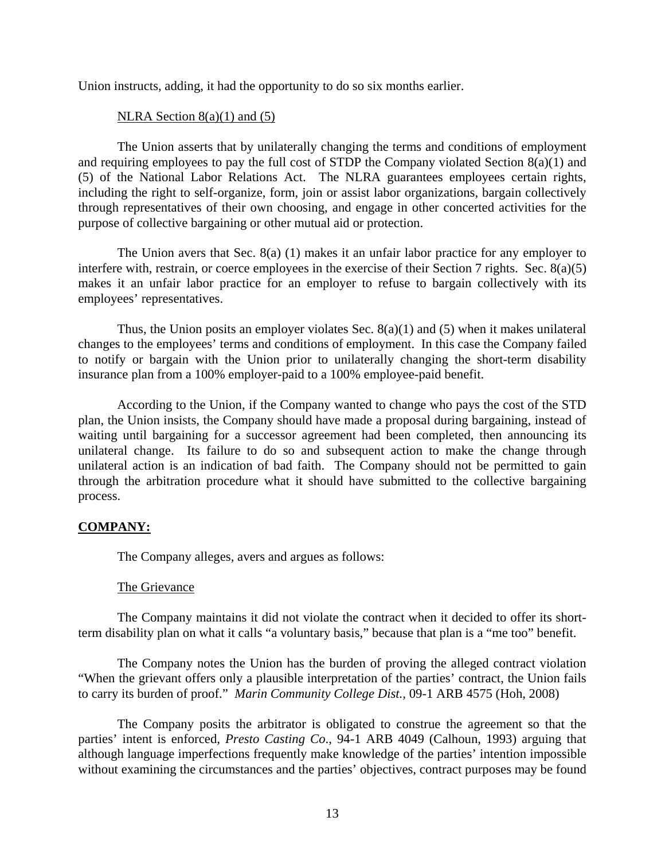Union instructs, adding, it had the opportunity to do so six months earlier.

## NLRA Section  $8(a)(1)$  and  $(5)$

 The Union asserts that by unilaterally changing the terms and conditions of employment and requiring employees to pay the full cost of STDP the Company violated Section 8(a)(1) and (5) of the National Labor Relations Act. The NLRA guarantees employees certain rights, including the right to self-organize, form, join or assist labor organizations, bargain collectively through representatives of their own choosing, and engage in other concerted activities for the purpose of collective bargaining or other mutual aid or protection.

The Union avers that Sec.  $8(a)$  (1) makes it an unfair labor practice for any employer to interfere with, restrain, or coerce employees in the exercise of their Section 7 rights. Sec. 8(a)(5) makes it an unfair labor practice for an employer to refuse to bargain collectively with its employees' representatives.

Thus, the Union posits an employer violates Sec.  $8(a)(1)$  and  $(5)$  when it makes unilateral changes to the employees' terms and conditions of employment. In this case the Company failed to notify or bargain with the Union prior to unilaterally changing the short-term disability insurance plan from a 100% employer-paid to a 100% employee-paid benefit.

According to the Union, if the Company wanted to change who pays the cost of the STD plan, the Union insists, the Company should have made a proposal during bargaining, instead of waiting until bargaining for a successor agreement had been completed, then announcing its unilateral change. Its failure to do so and subsequent action to make the change through unilateral action is an indication of bad faith. The Company should not be permitted to gain through the arbitration procedure what it should have submitted to the collective bargaining process.

# **COMPANY:**

The Company alleges, avers and argues as follows:

## The Grievance

The Company maintains it did not violate the contract when it decided to offer its shortterm disability plan on what it calls "a voluntary basis," because that plan is a "me too" benefit.

The Company notes the Union has the burden of proving the alleged contract violation "When the grievant offers only a plausible interpretation of the parties' contract, the Union fails to carry its burden of proof." *Marin Community College Dist.,* 09-1 ARB 4575 (Hoh, 2008)

 The Company posits the arbitrator is obligated to construe the agreement so that the parties' intent is enforced, *Presto Casting Co*., 94-1 ARB 4049 (Calhoun, 1993) arguing that although language imperfections frequently make knowledge of the parties' intention impossible without examining the circumstances and the parties' objectives, contract purposes may be found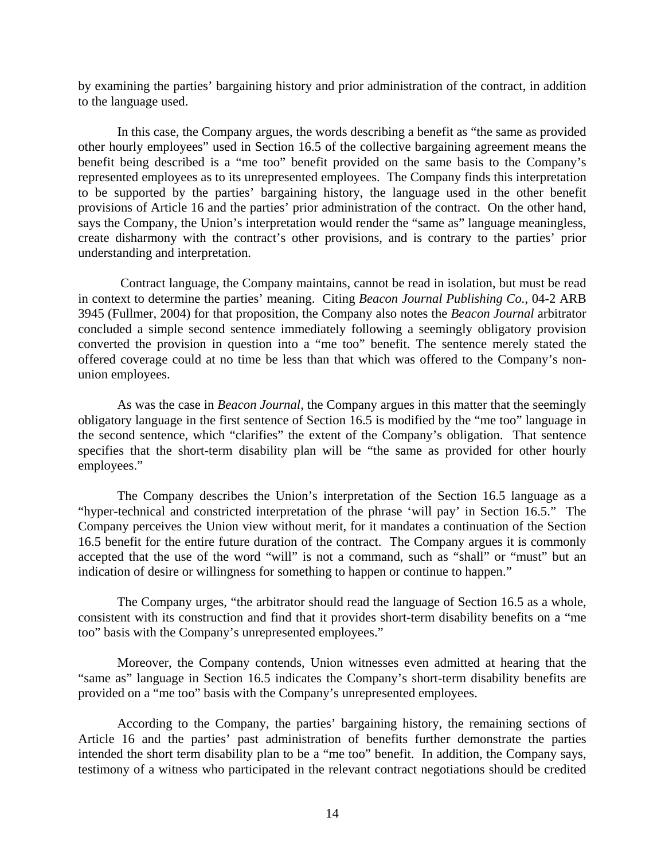by examining the parties' bargaining history and prior administration of the contract, in addition to the language used.

 In this case, the Company argues, the words describing a benefit as "the same as provided other hourly employees" used in Section 16.5 of the collective bargaining agreement means the benefit being described is a "me too" benefit provided on the same basis to the Company's represented employees as to its unrepresented employees. The Company finds this interpretation to be supported by the parties' bargaining history, the language used in the other benefit provisions of Article 16 and the parties' prior administration of the contract. On the other hand, says the Company, the Union's interpretation would render the "same as" language meaningless, create disharmony with the contract's other provisions, and is contrary to the parties' prior understanding and interpretation.

 Contract language, the Company maintains, cannot be read in isolation, but must be read in context to determine the parties' meaning. Citing *Beacon Journal Publishing Co.*, 04-2 ARB 3945 (Fullmer, 2004) for that proposition, the Company also notes the *Beacon Journal* arbitrator concluded a simple second sentence immediately following a seemingly obligatory provision converted the provision in question into a "me too" benefit. The sentence merely stated the offered coverage could at no time be less than that which was offered to the Company's nonunion employees.

As was the case in *Beacon Journal*, the Company argues in this matter that the seemingly obligatory language in the first sentence of Section 16.5 is modified by the "me too" language in the second sentence, which "clarifies" the extent of the Company's obligation. That sentence specifies that the short-term disability plan will be "the same as provided for other hourly employees."

The Company describes the Union's interpretation of the Section 16.5 language as a "hyper-technical and constricted interpretation of the phrase 'will pay' in Section 16.5." The Company perceives the Union view without merit, for it mandates a continuation of the Section 16.5 benefit for the entire future duration of the contract. The Company argues it is commonly accepted that the use of the word "will" is not a command, such as "shall" or "must" but an indication of desire or willingness for something to happen or continue to happen."

 The Company urges, "the arbitrator should read the language of Section 16.5 as a whole, consistent with its construction and find that it provides short-term disability benefits on a "me too" basis with the Company's unrepresented employees."

 Moreover, the Company contends, Union witnesses even admitted at hearing that the "same as" language in Section 16.5 indicates the Company's short-term disability benefits are provided on a "me too" basis with the Company's unrepresented employees.

According to the Company, the parties' bargaining history, the remaining sections of Article 16 and the parties' past administration of benefits further demonstrate the parties intended the short term disability plan to be a "me too" benefit. In addition, the Company says, testimony of a witness who participated in the relevant contract negotiations should be credited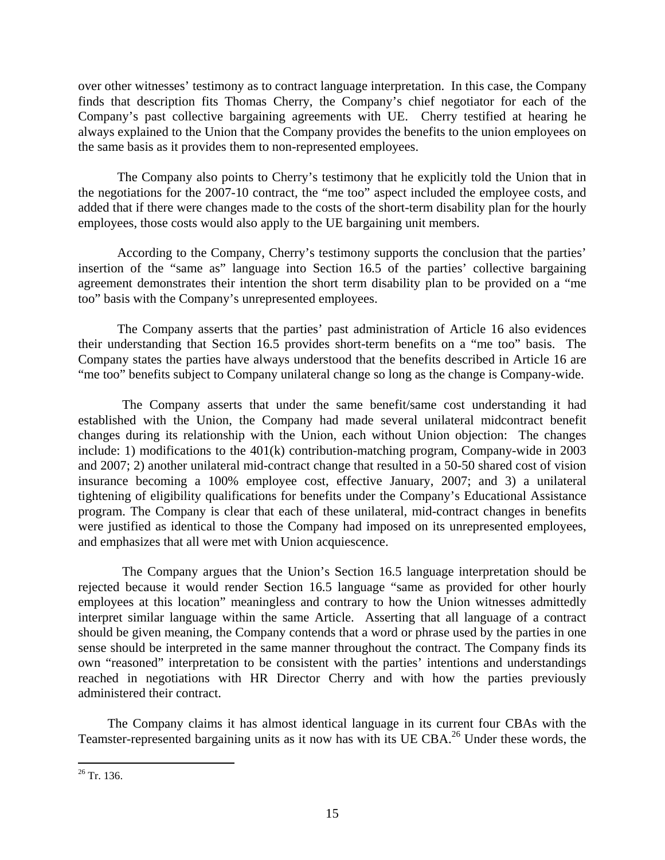over other witnesses' testimony as to contract language interpretation. In this case, the Company finds that description fits Thomas Cherry, the Company's chief negotiator for each of the Company's past collective bargaining agreements with UE. Cherry testified at hearing he always explained to the Union that the Company provides the benefits to the union employees on the same basis as it provides them to non-represented employees.

The Company also points to Cherry's testimony that he explicitly told the Union that in the negotiations for the 2007-10 contract, the "me too" aspect included the employee costs, and added that if there were changes made to the costs of the short-term disability plan for the hourly employees, those costs would also apply to the UE bargaining unit members.

According to the Company, Cherry's testimony supports the conclusion that the parties' insertion of the "same as" language into Section 16.5 of the parties' collective bargaining agreement demonstrates their intention the short term disability plan to be provided on a "me too" basis with the Company's unrepresented employees.

 The Company asserts that the parties' past administration of Article 16 also evidences their understanding that Section 16.5 provides short-term benefits on a "me too" basis. The Company states the parties have always understood that the benefits described in Article 16 are "me too" benefits subject to Company unilateral change so long as the change is Company-wide.

 The Company asserts that under the same benefit/same cost understanding it had established with the Union, the Company had made several unilateral midcontract benefit changes during its relationship with the Union, each without Union objection: The changes include: 1) modifications to the 401(k) contribution-matching program, Company-wide in 2003 and 2007; 2) another unilateral mid-contract change that resulted in a 50-50 shared cost of vision insurance becoming a 100% employee cost, effective January, 2007; and 3) a unilateral tightening of eligibility qualifications for benefits under the Company's Educational Assistance program. The Company is clear that each of these unilateral, mid-contract changes in benefits were justified as identical to those the Company had imposed on its unrepresented employees, and emphasizes that all were met with Union acquiescence.

 The Company argues that the Union's Section 16.5 language interpretation should be rejected because it would render Section 16.5 language "same as provided for other hourly employees at this location" meaningless and contrary to how the Union witnesses admittedly interpret similar language within the same Article. Asserting that all language of a contract should be given meaning, the Company contends that a word or phrase used by the parties in one sense should be interpreted in the same manner throughout the contract. The Company finds its own "reasoned" interpretation to be consistent with the parties' intentions and understandings reached in negotiations with HR Director Cherry and with how the parties previously administered their contract.

 The Company claims it has almost identical language in its current four CBAs with the Teamster-represented bargaining units as it now has with its UE CBA.26 Under these words, the

1

 $26$  Tr. 136.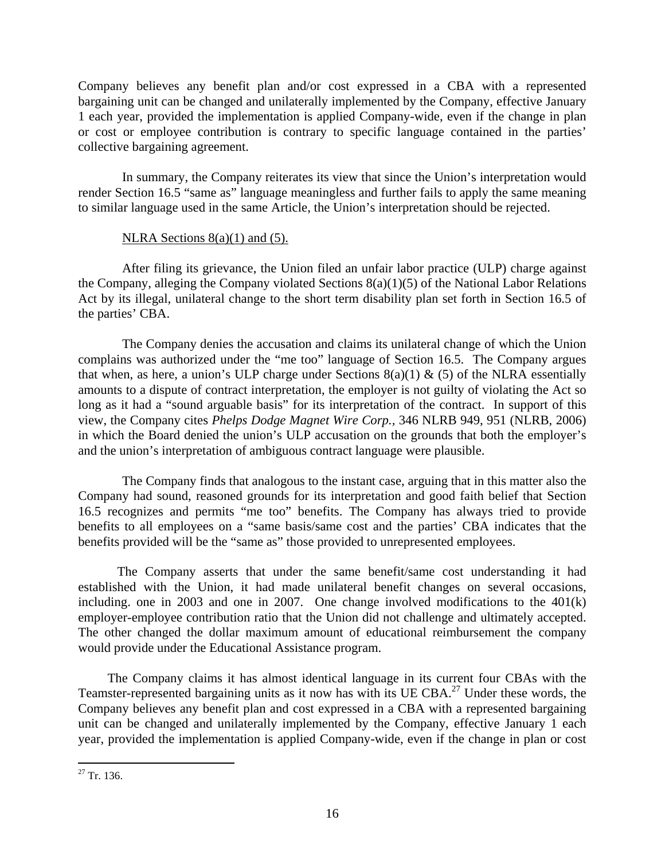Company believes any benefit plan and/or cost expressed in a CBA with a represented bargaining unit can be changed and unilaterally implemented by the Company, effective January 1 each year, provided the implementation is applied Company-wide, even if the change in plan or cost or employee contribution is contrary to specific language contained in the parties' collective bargaining agreement.

 In summary, the Company reiterates its view that since the Union's interpretation would render Section 16.5 "same as" language meaningless and further fails to apply the same meaning to similar language used in the same Article, the Union's interpretation should be rejected.

## NLRA Sections  $8(a)(1)$  and  $(5)$ .

 After filing its grievance, the Union filed an unfair labor practice (ULP) charge against the Company, alleging the Company violated Sections 8(a)(1)(5) of the National Labor Relations Act by its illegal, unilateral change to the short term disability plan set forth in Section 16.5 of the parties' CBA.

 The Company denies the accusation and claims its unilateral change of which the Union complains was authorized under the "me too" language of Section 16.5. The Company argues that when, as here, a union's ULP charge under Sections  $8(a)(1) \& (5)$  of the NLRA essentially amounts to a dispute of contract interpretation, the employer is not guilty of violating the Act so long as it had a "sound arguable basis" for its interpretation of the contract. In support of this view, the Company cites *Phelps Dodge Magnet Wire Corp.,* 346 NLRB 949, 951 (NLRB, 2006) in which the Board denied the union's ULP accusation on the grounds that both the employer's and the union's interpretation of ambiguous contract language were plausible.

 The Company finds that analogous to the instant case, arguing that in this matter also the Company had sound, reasoned grounds for its interpretation and good faith belief that Section 16.5 recognizes and permits "me too" benefits. The Company has always tried to provide benefits to all employees on a "same basis/same cost and the parties' CBA indicates that the benefits provided will be the "same as" those provided to unrepresented employees.

The Company asserts that under the same benefit/same cost understanding it had established with the Union, it had made unilateral benefit changes on several occasions, including. one in 2003 and one in 2007. One change involved modifications to the 401(k) employer-employee contribution ratio that the Union did not challenge and ultimately accepted. The other changed the dollar maximum amount of educational reimbursement the company would provide under the Educational Assistance program.

 The Company claims it has almost identical language in its current four CBAs with the Teamster-represented bargaining units as it now has with its UE CBA.27 Under these words, the Company believes any benefit plan and cost expressed in a CBA with a represented bargaining unit can be changed and unilaterally implemented by the Company, effective January 1 each year, provided the implementation is applied Company-wide, even if the change in plan or cost

<sup>1</sup>  $27$  Tr. 136.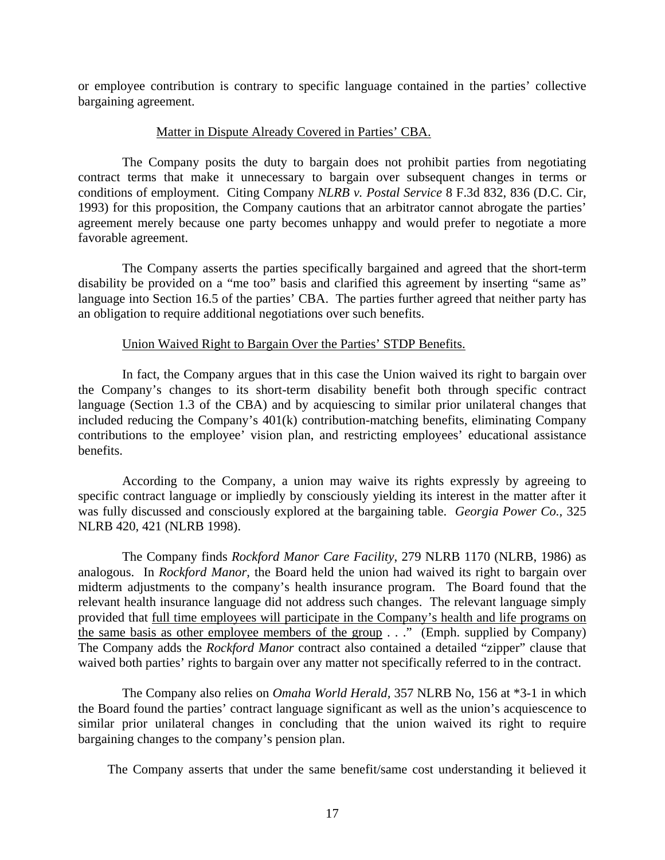or employee contribution is contrary to specific language contained in the parties' collective bargaining agreement.

## Matter in Dispute Already Covered in Parties' CBA.

 The Company posits the duty to bargain does not prohibit parties from negotiating contract terms that make it unnecessary to bargain over subsequent changes in terms or conditions of employment. Citing Company *NLRB v. Postal Service* 8 F.3d 832, 836 (D.C. Cir, 1993) for this proposition, the Company cautions that an arbitrator cannot abrogate the parties' agreement merely because one party becomes unhappy and would prefer to negotiate a more favorable agreement.

 The Company asserts the parties specifically bargained and agreed that the short-term disability be provided on a "me too" basis and clarified this agreement by inserting "same as" language into Section 16.5 of the parties' CBA. The parties further agreed that neither party has an obligation to require additional negotiations over such benefits.

## Union Waived Right to Bargain Over the Parties' STDP Benefits.

 In fact, the Company argues that in this case the Union waived its right to bargain over the Company's changes to its short-term disability benefit both through specific contract language (Section 1.3 of the CBA) and by acquiescing to similar prior unilateral changes that included reducing the Company's 401(k) contribution-matching benefits, eliminating Company contributions to the employee' vision plan, and restricting employees' educational assistance benefits.

 According to the Company, a union may waive its rights expressly by agreeing to specific contract language or impliedly by consciously yielding its interest in the matter after it was fully discussed and consciously explored at the bargaining table. *Georgia Power Co.,* 325 NLRB 420, 421 (NLRB 1998).

 The Company finds *Rockford Manor Care Facility*, 279 NLRB 1170 (NLRB, 1986) as analogous. In *Rockford Manor,* the Board held the union had waived its right to bargain over midterm adjustments to the company's health insurance program. The Board found that the relevant health insurance language did not address such changes. The relevant language simply provided that full time employees will participate in the Company's health and life programs on the same basis as other employee members of the group . . ." (Emph. supplied by Company) The Company adds the *Rockford Manor* contract also contained a detailed "zipper" clause that waived both parties' rights to bargain over any matter not specifically referred to in the contract.

 The Company also relies on *Omaha World Herald,* 357 NLRB No, 156 at \*3-1 in which the Board found the parties' contract language significant as well as the union's acquiescence to similar prior unilateral changes in concluding that the union waived its right to require bargaining changes to the company's pension plan.

The Company asserts that under the same benefit/same cost understanding it believed it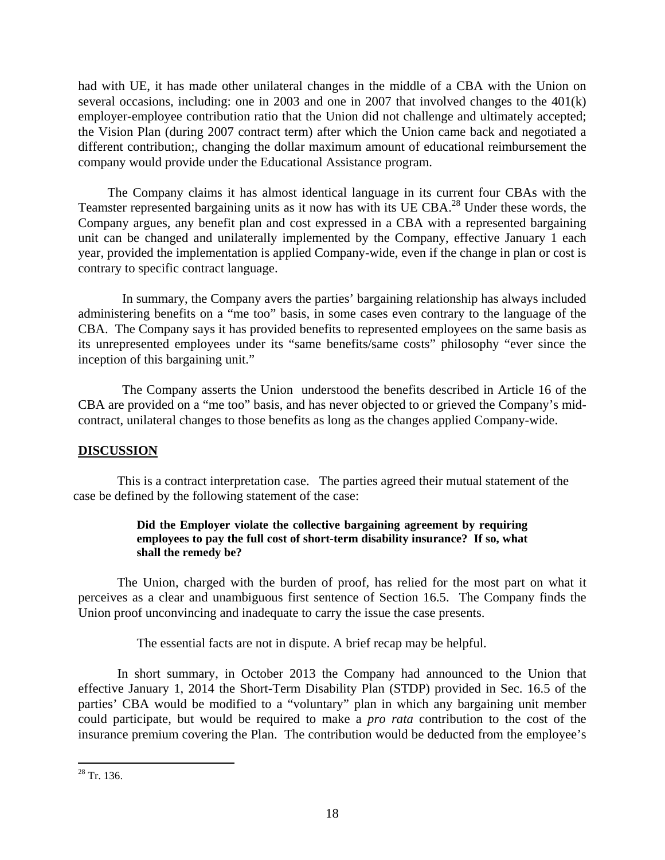had with UE, it has made other unilateral changes in the middle of a CBA with the Union on several occasions, including: one in 2003 and one in 2007 that involved changes to the 401(k) employer-employee contribution ratio that the Union did not challenge and ultimately accepted; the Vision Plan (during 2007 contract term) after which the Union came back and negotiated a different contribution;, changing the dollar maximum amount of educational reimbursement the company would provide under the Educational Assistance program.

 The Company claims it has almost identical language in its current four CBAs with the Teamster represented bargaining units as it now has with its UE CBA.28 Under these words, the Company argues, any benefit plan and cost expressed in a CBA with a represented bargaining unit can be changed and unilaterally implemented by the Company, effective January 1 each year, provided the implementation is applied Company-wide, even if the change in plan or cost is contrary to specific contract language.

 In summary, the Company avers the parties' bargaining relationship has always included administering benefits on a "me too" basis, in some cases even contrary to the language of the CBA. The Company says it has provided benefits to represented employees on the same basis as its unrepresented employees under its "same benefits/same costs" philosophy "ever since the inception of this bargaining unit."

 The Company asserts the Union understood the benefits described in Article 16 of the CBA are provided on a "me too" basis, and has never objected to or grieved the Company's midcontract, unilateral changes to those benefits as long as the changes applied Company-wide.

# **DISCUSSION**

 This is a contract interpretation case. The parties agreed their mutual statement of the case be defined by the following statement of the case:

## **Did the Employer violate the collective bargaining agreement by requiring employees to pay the full cost of short-term disability insurance? If so, what shall the remedy be?**

The Union, charged with the burden of proof, has relied for the most part on what it perceives as a clear and unambiguous first sentence of Section 16.5. The Company finds the Union proof unconvincing and inadequate to carry the issue the case presents.

The essential facts are not in dispute. A brief recap may be helpful.

In short summary, in October 2013 the Company had announced to the Union that effective January 1, 2014 the Short-Term Disability Plan (STDP) provided in Sec. 16.5 of the parties' CBA would be modified to a "voluntary" plan in which any bargaining unit member could participate, but would be required to make a *pro rata* contribution to the cost of the insurance premium covering the Plan. The contribution would be deducted from the employee's

 $\overline{a}$  $28$  Tr. 136.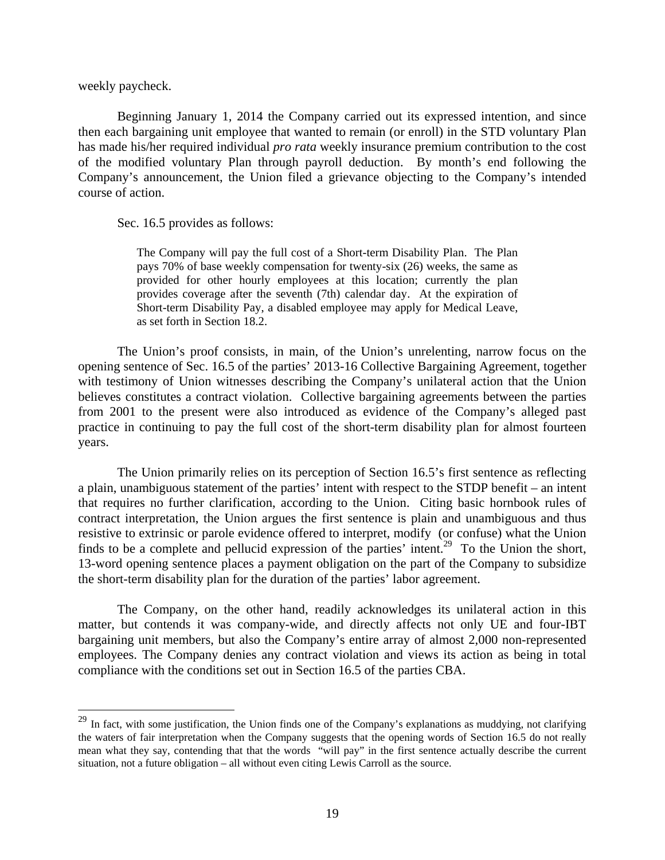weekly paycheck.

 $\overline{a}$ 

Beginning January 1, 2014 the Company carried out its expressed intention, and since then each bargaining unit employee that wanted to remain (or enroll) in the STD voluntary Plan has made his/her required individual *pro rata* weekly insurance premium contribution to the cost of the modified voluntary Plan through payroll deduction. By month's end following the Company's announcement, the Union filed a grievance objecting to the Company's intended course of action.

Sec. 16.5 provides as follows:

The Company will pay the full cost of a Short-term Disability Plan. The Plan pays 70% of base weekly compensation for twenty-six (26) weeks, the same as provided for other hourly employees at this location; currently the plan provides coverage after the seventh (7th) calendar day. At the expiration of Short-term Disability Pay, a disabled employee may apply for Medical Leave, as set forth in Section 18.2.

The Union's proof consists, in main, of the Union's unrelenting, narrow focus on the opening sentence of Sec. 16.5 of the parties' 2013-16 Collective Bargaining Agreement, together with testimony of Union witnesses describing the Company's unilateral action that the Union believes constitutes a contract violation. Collective bargaining agreements between the parties from 2001 to the present were also introduced as evidence of the Company's alleged past practice in continuing to pay the full cost of the short-term disability plan for almost fourteen years.

The Union primarily relies on its perception of Section 16.5's first sentence as reflecting a plain, unambiguous statement of the parties' intent with respect to the STDP benefit – an intent that requires no further clarification, according to the Union. Citing basic hornbook rules of contract interpretation, the Union argues the first sentence is plain and unambiguous and thus resistive to extrinsic or parole evidence offered to interpret, modify (or confuse) what the Union finds to be a complete and pellucid expression of the parties' intent.<sup>29</sup> To the Union the short, 13-word opening sentence places a payment obligation on the part of the Company to subsidize the short-term disability plan for the duration of the parties' labor agreement.

The Company, on the other hand, readily acknowledges its unilateral action in this matter, but contends it was company-wide, and directly affects not only UE and four-IBT bargaining unit members, but also the Company's entire array of almost 2,000 non-represented employees. The Company denies any contract violation and views its action as being in total compliance with the conditions set out in Section 16.5 of the parties CBA.

<sup>&</sup>lt;sup>29</sup> In fact, with some justification, the Union finds one of the Company's explanations as muddying, not clarifying the waters of fair interpretation when the Company suggests that the opening words of Section 16.5 do not really mean what they say, contending that that the words "will pay" in the first sentence actually describe the current situation, not a future obligation – all without even citing Lewis Carroll as the source.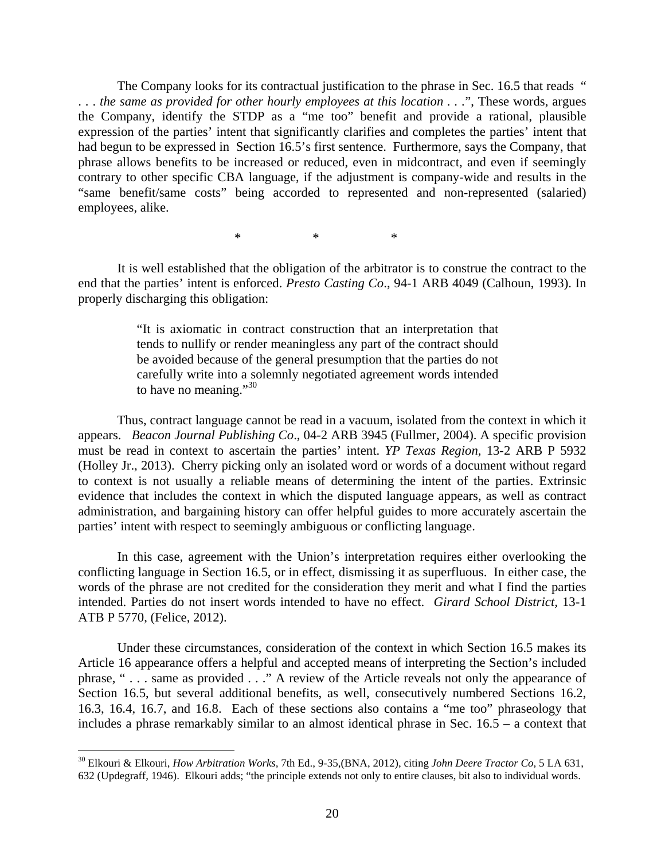The Company looks for its contractual justification to the phrase in Sec. 16.5 that reads " . . . *the same as provided for other hourly employees at this location . . .*", These words, argues the Company, identify the STDP as a "me too" benefit and provide a rational, plausible expression of the parties' intent that significantly clarifies and completes the parties' intent that had begun to be expressed in Section 16.5's first sentence. Furthermore, says the Company, that phrase allows benefits to be increased or reduced, even in midcontract, and even if seemingly contrary to other specific CBA language, if the adjustment is company-wide and results in the "same benefit/same costs" being accorded to represented and non-represented (salaried) employees, alike.

 $*$  \*  $*$ 

It is well established that the obligation of the arbitrator is to construe the contract to the end that the parties' intent is enforced. *Presto Casting Co*., 94-1 ARB 4049 (Calhoun, 1993). In properly discharging this obligation:

> "It is axiomatic in contract construction that an interpretation that tends to nullify or render meaningless any part of the contract should be avoided because of the general presumption that the parties do not carefully write into a solemnly negotiated agreement words intended to have no meaning." $30$

Thus, contract language cannot be read in a vacuum, isolated from the context in which it appears. *Beacon Journal Publishing Co*., 04-2 ARB 3945 (Fullmer, 2004). A specific provision must be read in context to ascertain the parties' intent. *YP Texas Region,* 13-2 ARB P 5932 (Holley Jr., 2013). Cherry picking only an isolated word or words of a document without regard to context is not usually a reliable means of determining the intent of the parties. Extrinsic evidence that includes the context in which the disputed language appears, as well as contract administration, and bargaining history can offer helpful guides to more accurately ascertain the parties' intent with respect to seemingly ambiguous or conflicting language.

In this case, agreement with the Union's interpretation requires either overlooking the conflicting language in Section 16.5, or in effect, dismissing it as superfluous. In either case, the words of the phrase are not credited for the consideration they merit and what I find the parties intended. Parties do not insert words intended to have no effect. *Girard School District,* 13-1 ATB P 5770, (Felice, 2012).

Under these circumstances, consideration of the context in which Section 16.5 makes its Article 16 appearance offers a helpful and accepted means of interpreting the Section's included phrase, " . . . same as provided . . ." A review of the Article reveals not only the appearance of Section 16.5, but several additional benefits, as well, consecutively numbered Sections 16.2, 16.3, 16.4, 16.7, and 16.8. Each of these sections also contains a "me too" phraseology that includes a phrase remarkably similar to an almost identical phrase in Sec. 16.5 – a context that

1

<sup>30</sup> Elkouri & Elkouri, *How Arbitration Works,* 7th Ed., 9-35,(BNA, 2012), citing *John Deere Tractor Co,* 5 LA 631, 632 (Updegraff, 1946). Elkouri adds; "the principle extends not only to entire clauses, bit also to individual words.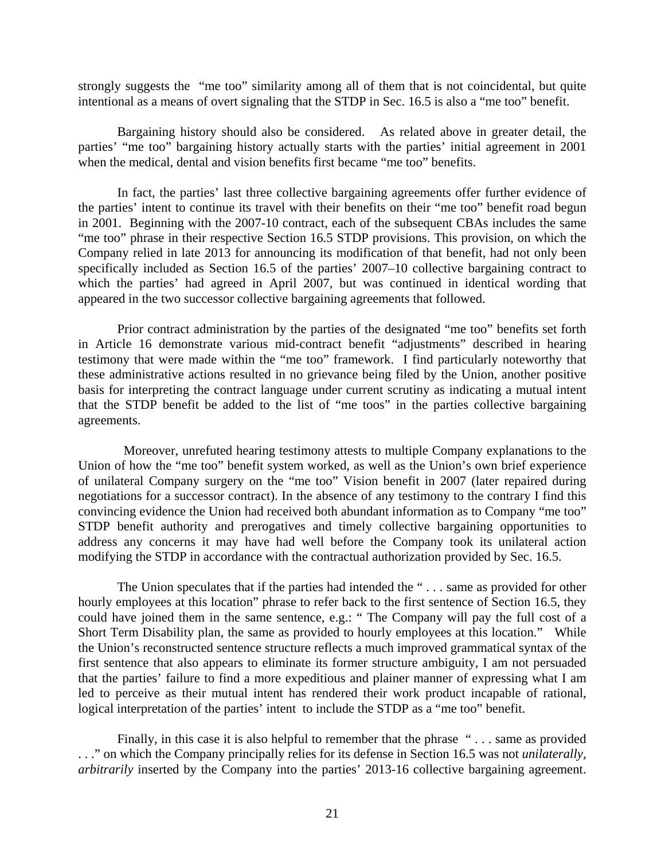strongly suggests the "me too" similarity among all of them that is not coincidental, but quite intentional as a means of overt signaling that the STDP in Sec. 16.5 is also a "me too" benefit.

Bargaining history should also be considered. As related above in greater detail, the parties' "me too" bargaining history actually starts with the parties' initial agreement in 2001 when the medical, dental and vision benefits first became "me too" benefits.

In fact, the parties' last three collective bargaining agreements offer further evidence of the parties' intent to continue its travel with their benefits on their "me too" benefit road begun in 2001. Beginning with the 2007-10 contract, each of the subsequent CBAs includes the same "me too" phrase in their respective Section 16.5 STDP provisions. This provision, on which the Company relied in late 2013 for announcing its modification of that benefit, had not only been specifically included as Section 16.5 of the parties' 2007–10 collective bargaining contract to which the parties' had agreed in April 2007, but was continued in identical wording that appeared in the two successor collective bargaining agreements that followed.

Prior contract administration by the parties of the designated "me too" benefits set forth in Article 16 demonstrate various mid-contract benefit "adjustments" described in hearing testimony that were made within the "me too" framework. I find particularly noteworthy that these administrative actions resulted in no grievance being filed by the Union, another positive basis for interpreting the contract language under current scrutiny as indicating a mutual intent that the STDP benefit be added to the list of "me toos" in the parties collective bargaining agreements.

 Moreover, unrefuted hearing testimony attests to multiple Company explanations to the Union of how the "me too" benefit system worked, as well as the Union's own brief experience of unilateral Company surgery on the "me too" Vision benefit in 2007 (later repaired during negotiations for a successor contract). In the absence of any testimony to the contrary I find this convincing evidence the Union had received both abundant information as to Company "me too" STDP benefit authority and prerogatives and timely collective bargaining opportunities to address any concerns it may have had well before the Company took its unilateral action modifying the STDP in accordance with the contractual authorization provided by Sec. 16.5.

The Union speculates that if the parties had intended the "... same as provided for other hourly employees at this location" phrase to refer back to the first sentence of Section 16.5, they could have joined them in the same sentence, e.g.: " The Company will pay the full cost of a Short Term Disability plan, the same as provided to hourly employees at this location." While the Union's reconstructed sentence structure reflects a much improved grammatical syntax of the first sentence that also appears to eliminate its former structure ambiguity, I am not persuaded that the parties' failure to find a more expeditious and plainer manner of expressing what I am led to perceive as their mutual intent has rendered their work product incapable of rational, logical interpretation of the parties' intent to include the STDP as a "me too" benefit.

Finally, in this case it is also helpful to remember that the phrase "... same as provided . . ." on which the Company principally relies for its defense in Section 16.5 was not *unilaterally, arbitrarily* inserted by the Company into the parties' 2013-16 collective bargaining agreement.